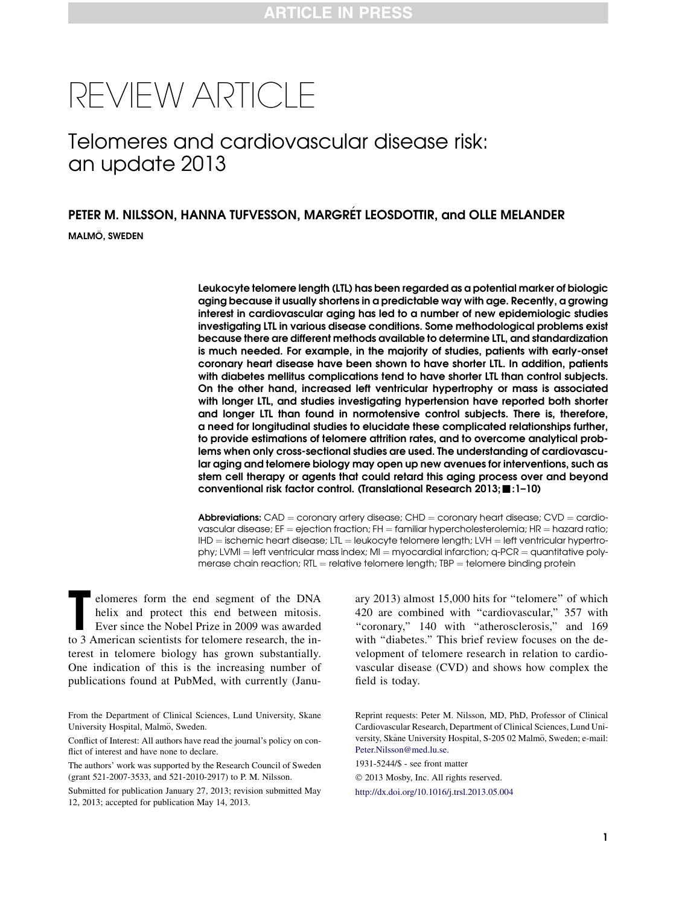# REVIEW ARTICLE

## Telomeres and cardiovascular disease risk: an update 2013

## PETER M. NILSSON, HANNA TUFVESSON, MARGRÉT LEOSDOTTIR, and OLLE MELANDER MALMÖ, SWEDEN

Leukocyte telomere length (LTL) has been regarded as a potential marker of biologic aging because it usually shortens in a predictable way with age. Recently, a growing interest in cardiovascular aging has led to a number of new epidemiologic studies investigating LTL in various disease conditions. Some methodological problems exist because there are different methods available to determine LTL, and standardization is much needed. For example, in the majority of studies, patients with early-onset coronary heart disease have been shown to have shorter LTL. In addition, patients with diabetes mellitus complications tend to have shorter LTL than control subjects. On the other hand, increased left ventricular hypertrophy or mass is associated with longer LTL, and studies investigating hypertension have reported both shorter and longer LTL than found in normotensive control subjects. There is, therefore, a need for longitudinal studies to elucidate these complicated relationships further, to provide estimations of telomere attrition rates, and to overcome analytical problems when only cross-sectional studies are used. The understanding of cardiovascular aging and telomere biology may open up new avenues for interventions, such as stem cell therapy or agents that could retard this aging process over and beyond conventional risk factor control. (Translational Research 2013; :1-10)

**Abbreviations:** CAD = coronary artery disease; CHD = coronary heart disease; CVD = cardiovascular disease; EF = ejection fraction; FH = familiar hypercholesterolemia; HR = hazard ratio;  $IHD =$  ischemic heart disease; LTL = leukocyte telomere length; LVH = left ventricular hypertrophy; LVMI = left ventricular mass index; MI = myocardial infarction;  $q$ -PCR = quantitative polymerase chain reaction;  $RTL =$  relative telomere length;  $TBP =$  telomere binding protein

elomeres form the end segment of the DNA<br>helix and protect this end between mitosis.<br>Ever since the Nobel Prize in 2009 was awarded<br>to 3 American scientists for telomere research, the inelomeres form the end segment of the DNA helix and protect this end between mitosis. Ever since the Nobel Prize in 2009 was awarded terest in telomere biology has grown substantially. One indication of this is the increasing number of publications found at PubMed, with currently (Janu-

From the Department of Clinical Sciences, Lund University, Skane University Hospital, Malmö, Sweden.

Conflict of Interest: All authors have read the journal's policy on conflict of interest and have none to declare.

The authors' work was supported by the Research Council of Sweden (grant 521-2007-3533, and 521-2010-2917) to P. M. Nilsson.

Submitted for publication January 27, 2013; revision submitted May 12, 2013; accepted for publication May 14, 2013.

ary 2013) almost 15,000 hits for ''telomere'' of which 420 are combined with ''cardiovascular,'' 357 with "coronary," 140 with "atherosclerosis," and 169 with "diabetes." This brief review focuses on the development of telomere research in relation to cardiovascular disease (CVD) and shows how complex the field is today.

Reprint requests: Peter M. Nilsson, MD, PhD, Professor of Clinical Cardiovascular Research, Department of Clinical Sciences, Lund University, Skåne University Hospital, S-205 02 Malmö, Sweden; e-mail: [Peter.Nilsson@med.lu.se.](mailto:Peter.Nilsson@med.lu.se)

1931-5244/\$ - see front matter

 2013 Mosby, Inc. All rights reserved. <http://dx.doi.org/10.1016/j.trsl.2013.05.004>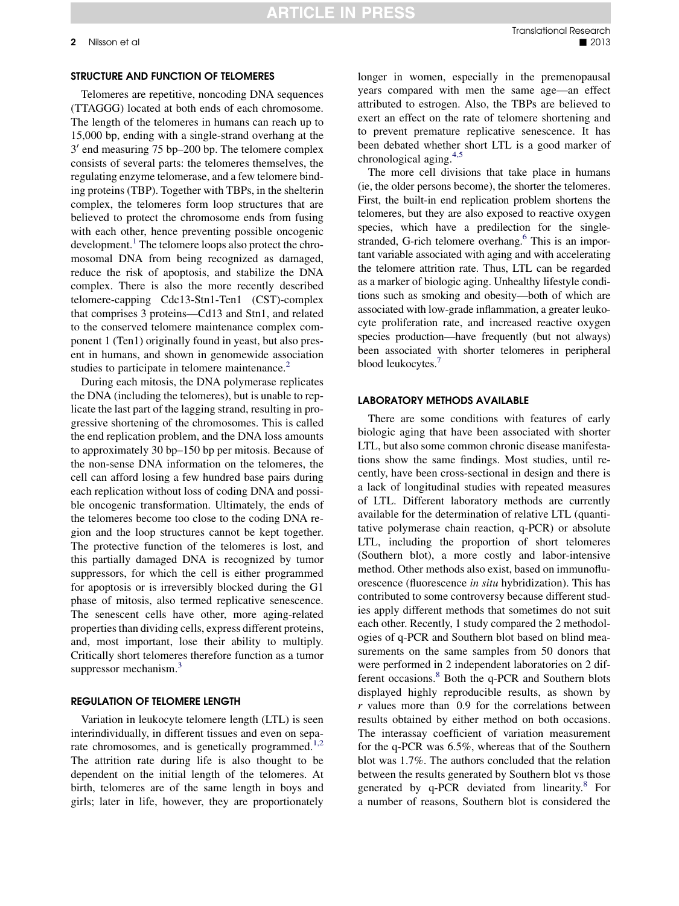### **ARTICLE IN PRESS**

#### STRUCTURE AND FUNCTION OF TELOMERES

Telomeres are repetitive, noncoding DNA sequences (TTAGGG) located at both ends of each chromosome. The length of the telomeres in humans can reach up to 15,000 bp, ending with a single-strand overhang at the  $3'$  end measuring 75 bp–200 bp. The telomere complex consists of several parts: the telomeres themselves, the regulating enzyme telomerase, and a few telomere binding proteins (TBP). Together with TBPs, in the shelterin complex, the telomeres form loop structures that are believed to protect the chromosome ends from fusing with each other, hence preventing possible oncogenic development. $<sup>1</sup>$  $<sup>1</sup>$  $<sup>1</sup>$  The telomere loops also protect the chro-</sup> mosomal DNA from being recognized as damaged, reduce the risk of apoptosis, and stabilize the DNA complex. There is also the more recently described telomere-capping Cdc13-Stn1-Ten1 (CST)-complex that comprises 3 proteins—Cd13 and Stn1, and related to the conserved telomere maintenance complex component 1 (Ten1) originally found in yeast, but also present in humans, and shown in genomewide association studies to participate in telomere maintenance.<sup>2</sup>

During each mitosis, the DNA polymerase replicates the DNA (including the telomeres), but is unable to replicate the last part of the lagging strand, resulting in progressive shortening of the chromosomes. This is called the end replication problem, and the DNA loss amounts to approximately 30 bp–150 bp per mitosis. Because of the non-sense DNA information on the telomeres, the cell can afford losing a few hundred base pairs during each replication without loss of coding DNA and possible oncogenic transformation. Ultimately, the ends of the telomeres become too close to the coding DNA region and the loop structures cannot be kept together. The protective function of the telomeres is lost, and this partially damaged DNA is recognized by tumor suppressors, for which the cell is either programmed for apoptosis or is irreversibly blocked during the G1 phase of mitosis, also termed replicative senescence. The senescent cells have other, more aging-related properties than dividing cells, express different proteins, and, most important, lose their ability to multiply. Critically short telomeres therefore function as a tumor suppressor mechanism.<sup>[3](#page-8-0)</sup>

#### REGULATION OF TELOMERE LENGTH

Variation in leukocyte telomere length (LTL) is seen interindividually, in different tissues and even on sepa-rate chromosomes, and is genetically programmed.<sup>[1,2](#page-8-0)</sup> The attrition rate during life is also thought to be dependent on the initial length of the telomeres. At birth, telomeres are of the same length in boys and girls; later in life, however, they are proportionately

longer in women, especially in the premenopausal years compared with men the same age—an effect attributed to estrogen. Also, the TBPs are believed to exert an effect on the rate of telomere shortening and to prevent premature replicative senescence. It has been debated whether short LTL is a good marker of chronological aging.<sup>[4,5](#page-8-0)</sup>

The more cell divisions that take place in humans (ie, the older persons become), the shorter the telomeres. First, the built-in end replication problem shortens the telomeres, but they are also exposed to reactive oxygen species, which have a predilection for the singlestranded, G-rich telomere overhang. $<sup>6</sup>$  This is an impor-</sup> tant variable associated with aging and with accelerating the telomere attrition rate. Thus, LTL can be regarded as a marker of biologic aging. Unhealthy lifestyle conditions such as smoking and obesity—both of which are associated with low-grade inflammation, a greater leukocyte proliferation rate, and increased reactive oxygen species production—have frequently (but not always) been associated with shorter telomeres in peripheral blood leukocytes.<sup>7</sup>

#### LABORATORY METHODS AVAILABLE

There are some conditions with features of early biologic aging that have been associated with shorter LTL, but also some common chronic disease manifestations show the same findings. Most studies, until recently, have been cross-sectional in design and there is a lack of longitudinal studies with repeated measures of LTL. Different laboratory methods are currently available for the determination of relative LTL (quantitative polymerase chain reaction, q-PCR) or absolute LTL, including the proportion of short telomeres (Southern blot), a more costly and labor-intensive method. Other methods also exist, based on immunofluorescence (fluorescence in situ hybridization). This has contributed to some controversy because different studies apply different methods that sometimes do not suit each other. Recently, 1 study compared the 2 methodologies of q-PCR and Southern blot based on blind measurements on the same samples from 50 donors that were performed in 2 independent laboratories on 2 dif-ferent occasions.<sup>[8](#page-8-0)</sup> Both the q-PCR and Southern blots displayed highly reproducible results, as shown by r values more than 0.9 for the correlations between results obtained by either method on both occasions. The interassay coefficient of variation measurement for the q-PCR was 6.5%, whereas that of the Southern blot was 1.7%. The authors concluded that the relation between the results generated by Southern blot vs those generated by  $q$ -PCR deviated from linearity. $8$  For a number of reasons, Southern blot is considered the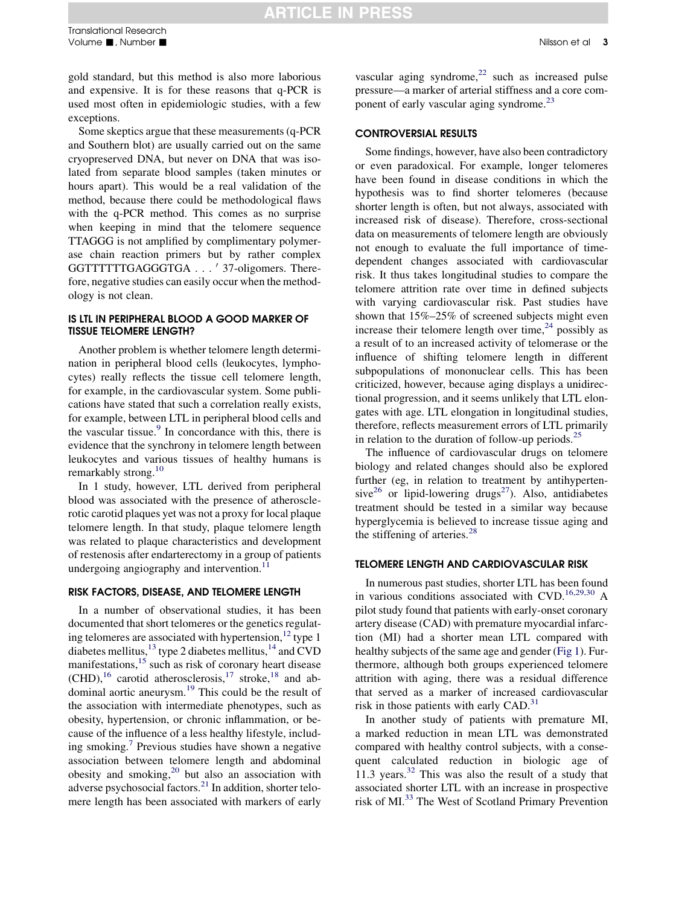gold standard, but this method is also more laborious and expensive. It is for these reasons that q-PCR is used most often in epidemiologic studies, with a few exceptions.

Some skeptics argue that these measurements (q-PCR and Southern blot) are usually carried out on the same cryopreserved DNA, but never on DNA that was isolated from separate blood samples (taken minutes or hours apart). This would be a real validation of the method, because there could be methodological flaws with the q-PCR method. This comes as no surprise when keeping in mind that the telomere sequence TTAGGG is not amplified by complimentary polymerase chain reaction primers but by rather complex GGTTTTTTGAGGGTGA . . . ' 37-oligomers. Therefore, negative studies can easily occur when the methodology is not clean.

#### IS LTL IN PERIPHERAL BLOOD A GOOD MARKER OF TISSUE TELOMERE LENGTH?

Another problem is whether telomere length determination in peripheral blood cells (leukocytes, lymphocytes) really reflects the tissue cell telomere length, for example, in the cardiovascular system. Some publications have stated that such a correlation really exists, for example, between LTL in peripheral blood cells and the vascular tissue. $9$  In concordance with this, there is evidence that the synchrony in telomere length between leukocytes and various tissues of healthy humans is remarkably strong.<sup>[10](#page-8-0)</sup>

In 1 study, however, LTL derived from peripheral blood was associated with the presence of atherosclerotic carotid plaques yet was not a proxy for local plaque telomere length. In that study, plaque telomere length was related to plaque characteristics and development of restenosis after endarterectomy in a group of patients undergoing angiography and intervention. $^{11}$  $^{11}$  $^{11}$ 

#### RISK FACTORS, DISEASE, AND TELOMERE LENGTH

In a number of observational studies, it has been documented that short telomeres or the genetics regulating telomeres are associated with hypertension,  $12$  type 1 diabetes mellitus,  $^{13}$  type 2 diabetes mellitus,  $^{14}$  $^{14}$  $^{14}$  and CVD manifestations,<sup>[15](#page-8-0)</sup> such as risk of coronary heart disease  $(CHD)$ ,<sup>[16](#page-8-0)</sup> carotid atherosclerosis,<sup>[17](#page-8-0)</sup> stroke,<sup>[18](#page-8-0)</sup> and ab-dominal aortic aneurysm.<sup>[19](#page-8-0)</sup> This could be the result of the association with intermediate phenotypes, such as obesity, hypertension, or chronic inflammation, or because of the influence of a less healthy lifestyle, includ-ing smoking.<sup>[7](#page-8-0)</sup> Previous studies have shown a negative association between telomere length and abdominal obesity and smoking, $20$  but also an association with adverse psychosocial factors.[21](#page-8-0) In addition, shorter telomere length has been associated with markers of early vascular aging syndrome, $^{22}$  $^{22}$  $^{22}$  such as increased pulse pressure—a marker of arterial stiffness and a core com-ponent of early vascular aging syndrome.<sup>[23](#page-8-0)</sup>

#### CONTROVERSIAL RESULTS

Some findings, however, have also been contradictory or even paradoxical. For example, longer telomeres have been found in disease conditions in which the hypothesis was to find shorter telomeres (because shorter length is often, but not always, associated with increased risk of disease). Therefore, cross-sectional data on measurements of telomere length are obviously not enough to evaluate the full importance of timedependent changes associated with cardiovascular risk. It thus takes longitudinal studies to compare the telomere attrition rate over time in defined subjects with varying cardiovascular risk. Past studies have shown that 15%–25% of screened subjects might even increase their telomere length over time,  $24$  possibly as a result of to an increased activity of telomerase or the influence of shifting telomere length in different subpopulations of mononuclear cells. This has been criticized, however, because aging displays a unidirectional progression, and it seems unlikely that LTL elongates with age. LTL elongation in longitudinal studies, therefore, reflects measurement errors of LTL primarily in relation to the duration of follow-up periods. $25$ 

The influence of cardiovascular drugs on telomere biology and related changes should also be explored further (eg, in relation to treatment by antihyperten-sive<sup>[26](#page-9-0)</sup> or lipid-lowering drugs<sup>27</sup>). Also, antidiabetes treatment should be tested in a similar way because hyperglycemia is believed to increase tissue aging and the stiffening of arteries.<sup>[28](#page-9-0)</sup>

#### TELOMERE LENGTH AND CARDIOVASCULAR RISK

In numerous past studies, shorter LTL has been found in various conditions associated with  $CVD$ .<sup>[16,29,30](#page-8-0)</sup> A pilot study found that patients with early-onset coronary artery disease (CAD) with premature myocardial infarction (MI) had a shorter mean LTL compared with healthy subjects of the same age and gender [\(Fig 1](#page-3-0)). Furthermore, although both groups experienced telomere attrition with aging, there was a residual difference that served as a marker of increased cardiovascular risk in those patients with early CAD.<sup>[31](#page-9-0)</sup>

In another study of patients with premature MI, a marked reduction in mean LTL was demonstrated compared with healthy control subjects, with a consequent calculated reduction in biologic age of 11.3 years. $32$  This was also the result of a study that associated shorter LTL with an increase in prospective risk of MI.[33](#page-9-0) The West of Scotland Primary Prevention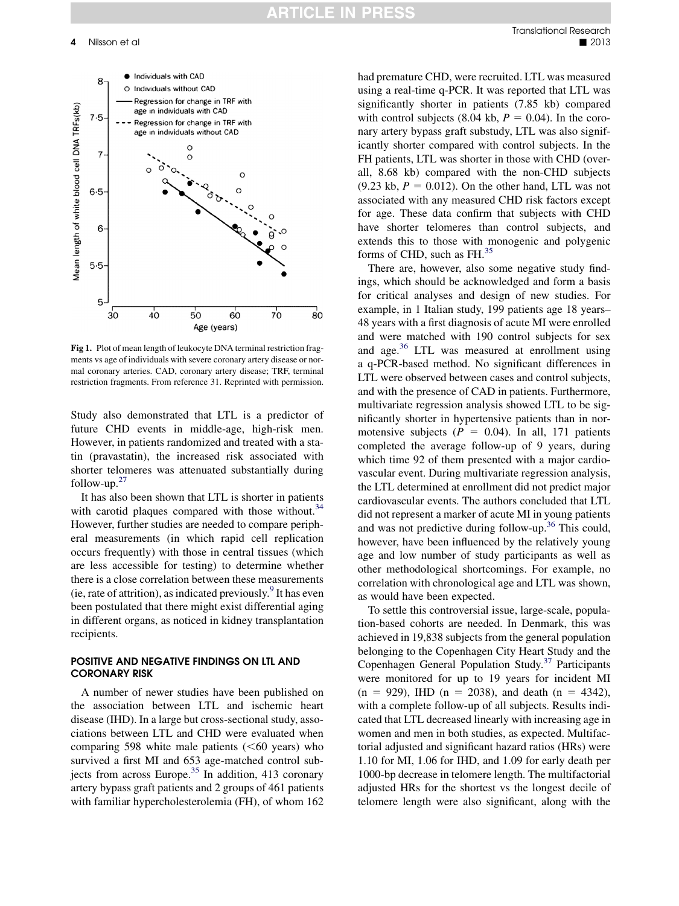<span id="page-3-0"></span>

Fig 1. Plot of mean length of leukocyte DNA terminal restriction fragments vs age of individuals with severe coronary artery disease or normal coronary arteries. CAD, coronary artery disease; TRF, terminal restriction fragments. From reference 31. Reprinted with permission.

Study also demonstrated that LTL is a predictor of future CHD events in middle-age, high-risk men. However, in patients randomized and treated with a statin (pravastatin), the increased risk associated with shorter telomeres was attenuated substantially during follow-up. $27$ 

It has also been shown that LTL is shorter in patients with carotid plaques compared with those without. $34$ However, further studies are needed to compare peripheral measurements (in which rapid cell replication occurs frequently) with those in central tissues (which are less accessible for testing) to determine whether there is a close correlation between these measurements (ie, rate of attrition), as indicated previously. It has even been postulated that there might exist differential aging in different organs, as noticed in kidney transplantation recipients.

#### POSITIVE AND NEGATIVE FINDINGS ON LTL AND CORONARY RISK

A number of newer studies have been published on the association between LTL and ischemic heart disease (IHD). In a large but cross-sectional study, associations between LTL and CHD were evaluated when comparing 598 white male patients  $( $60$  years) who$ survived a first MI and 653 age-matched control sub-jects from across Europe.<sup>[35](#page-9-0)</sup> In addition, 413 coronary artery bypass graft patients and 2 groups of 461 patients with familiar hypercholesterolemia (FH), of whom 162

had premature CHD, were recruited. LTL was measured using a real-time q-PCR. It was reported that LTL was significantly shorter in patients (7.85 kb) compared with control subjects (8.04 kb,  $P = 0.04$ ). In the coronary artery bypass graft substudy, LTL was also significantly shorter compared with control subjects. In the FH patients, LTL was shorter in those with CHD (overall, 8.68 kb) compared with the non-CHD subjects  $(9.23 \text{ kb}, P = 0.012)$ . On the other hand, LTL was not associated with any measured CHD risk factors except for age. These data confirm that subjects with CHD have shorter telomeres than control subjects, and extends this to those with monogenic and polygenic forms of CHD, such as FH.<sup>[35](#page-9-0)</sup>

There are, however, also some negative study findings, which should be acknowledged and form a basis for critical analyses and design of new studies. For example, in 1 Italian study, 199 patients age 18 years– 48 years with a first diagnosis of acute MI were enrolled and were matched with 190 control subjects for sex and age.[36](#page-9-0) LTL was measured at enrollment using a q-PCR-based method. No significant differences in LTL were observed between cases and control subjects, and with the presence of CAD in patients. Furthermore, multivariate regression analysis showed LTL to be significantly shorter in hypertensive patients than in normotensive subjects ( $P = 0.04$ ). In all, 171 patients completed the average follow-up of 9 years, during which time 92 of them presented with a major cardiovascular event. During multivariate regression analysis, the LTL determined at enrollment did not predict major cardiovascular events. The authors concluded that LTL did not represent a marker of acute MI in young patients and was not predictive during follow-up.[36](#page-9-0) This could, however, have been influenced by the relatively young age and low number of study participants as well as other methodological shortcomings. For example, no correlation with chronological age and LTL was shown, as would have been expected.

To settle this controversial issue, large-scale, population-based cohorts are needed. In Denmark, this was achieved in 19,838 subjects from the general population belonging to the Copenhagen City Heart Study and the Copenhagen General Population Study.[37](#page-9-0) Participants were monitored for up to 19 years for incident MI  $(n = 929)$ , IHD  $(n = 2038)$ , and death  $(n = 4342)$ , with a complete follow-up of all subjects. Results indicated that LTL decreased linearly with increasing age in women and men in both studies, as expected. Multifactorial adjusted and significant hazard ratios (HRs) were 1.10 for MI, 1.06 for IHD, and 1.09 for early death per 1000-bp decrease in telomere length. The multifactorial adjusted HRs for the shortest vs the longest decile of telomere length were also significant, along with the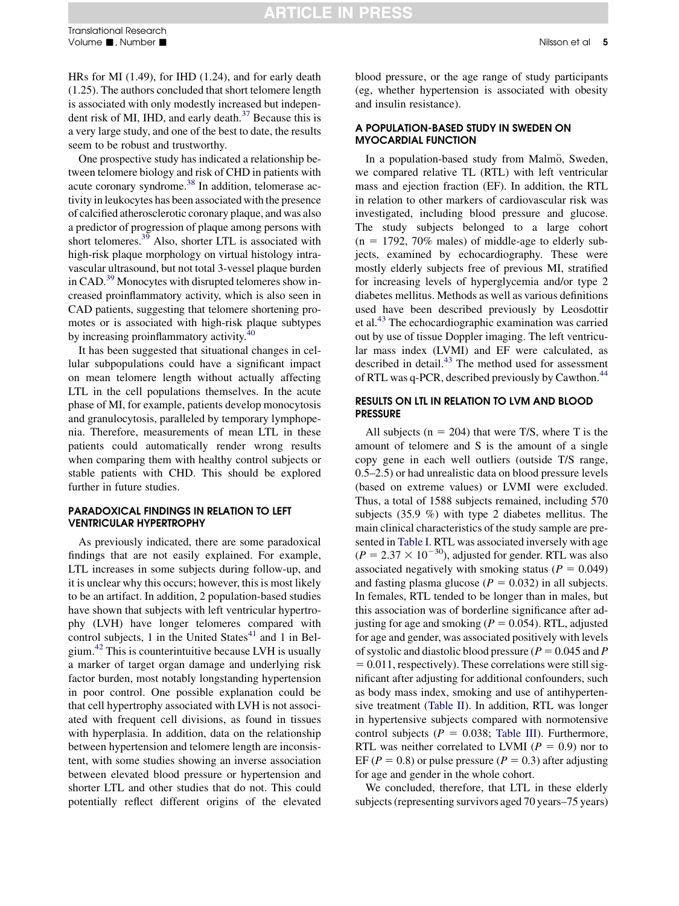HRs for MI (1.49), for IHD (1.24), and for early death (1.25). The authors concluded that short telomere length is associated with only modestly increased but independent risk of MI, IHD, and early death. $37$  Because this is a very large study, and one of the best to date, the results seem to be robust and trustworthy.

One prospective study has indicated a relationship between telomere biology and risk of CHD in patients with acute coronary syndrome[.38](#page-9-0) In addition, telomerase activity in leukocytes has been associated with the presence of calcified atherosclerotic coronary plaque, and was also a predictor of progression of plaque among persons with short telomeres.<sup>[39](#page-9-0)</sup> Also, shorter LTL is associated with high-risk plaque morphology on virtual histology intravascular ultrasound, but not total 3-vessel plaque burden in CAD.<sup>[39](#page-9-0)</sup> Monocytes with disrupted telomeres show increased proinflammatory activity, which is also seen in CAD patients, suggesting that telomere shortening promotes or is associated with high-risk plaque subtypes by increasing proinflammatory activity.<sup>[40](#page-9-0)</sup>

It has been suggested that situational changes in cellular subpopulations could have a significant impact on mean telomere length without actually affecting LTL in the cell populations themselves. In the acute phase of MI, for example, patients develop monocytosis and granulocytosis, paralleled by temporary lymphopenia. Therefore, measurements of mean LTL in these patients could automatically render wrong results when comparing them with healthy control subjects or stable patients with CHD. This should be explored further in future studies.

#### PARADOXICAL FINDINGS IN RELATION TO LEFT VENTRICULAR HYPERTROPHY

As previously indicated, there are some paradoxical findings that are not easily explained. For example, LTL increases in some subjects during follow-up, and it is unclear why this occurs; however, this is most likely to be an artifact. In addition, 2 population-based studies have shown that subjects with left ventricular hypertrophy (LVH) have longer telomeres compared with control subjects, 1 in the United States $41$  and 1 in Belgium.[42](#page-9-0) This is counterintuitive because LVH is usually a marker of target organ damage and underlying risk factor burden, most notably longstanding hypertension in poor control. One possible explanation could be that cell hypertrophy associated with LVH is not associated with frequent cell divisions, as found in tissues with hyperplasia. In addition, data on the relationship between hypertension and telomere length are inconsistent, with some studies showing an inverse association between elevated blood pressure or hypertension and shorter LTL and other studies that do not. This could potentially reflect different origins of the elevated blood pressure, or the age range of study participants (eg, whether hypertension is associated with obesity and insulin resistance).

#### A POPULATION-BASED STUDY IN SWEDEN ON MYOCARDIAL FUNCTION

In a population-based study from Malmö, Sweden, we compared relative TL (RTL) with left ventricular mass and ejection fraction (EF). In addition, the RTL in relation to other markers of cardiovascular risk was investigated, including blood pressure and glucose. The study subjects belonged to a large cohort  $(n = 1792, 70\%$  males) of middle-age to elderly subjects, examined by echocardiography. These were mostly elderly subjects free of previous MI, stratified for increasing levels of hyperglycemia and/or type 2 diabetes mellitus. Methods as well as various definitions used have been described previously by Leosdottir et al.[43](#page-9-0) The echocardiographic examination was carried out by use of tissue Doppler imaging. The left ventricular mass index (LVMI) and EF were calculated, as described in detail.<sup>[43](#page-9-0)</sup> The method used for assessment of RTL was q-PCR, described previously by Cawthon.<sup>[44](#page-9-0)</sup>

#### RESULTS ON LTL IN RELATION TO LVM AND BLOOD PRESSURE

All subjects ( $n = 204$ ) that were T/S, where T is the amount of telomere and S is the amount of a single copy gene in each well outliers (outside T/S range, 0.5–2.5) or had unrealistic data on blood pressure levels (based on extreme values) or LVMI were excluded. Thus, a total of 1588 subjects remained, including 570 subjects (35.9 %) with type 2 diabetes mellitus. The main clinical characteristics of the study sample are presented in [Table I](#page-5-0). RTL was associated inversely with age  $(P = 2.37 \times 10^{-30})$ , adjusted for gender. RTL was also associated negatively with smoking status ( $P = 0.049$ ) and fasting plasma glucose ( $P = 0.032$ ) in all subjects. In females, RTL tended to be longer than in males, but this association was of borderline significance after adjusting for age and smoking ( $P = 0.054$ ). RTL, adjusted for age and gender, was associated positively with levels of systolic and diastolic blood pressure ( $P = 0.045$  and P  $= 0.011$ , respectively). These correlations were still significant after adjusting for additional confounders, such as body mass index, smoking and use of antihypertensive treatment ([Table II\)](#page-6-0). In addition, RTL was longer in hypertensive subjects compared with normotensive control subjects ( $P = 0.038$ ; [Table III\)](#page-7-0). Furthermore, RTL was neither correlated to LVMI ( $P = 0.9$ ) nor to EF ( $P = 0.8$ ) or pulse pressure ( $P = 0.3$ ) after adjusting for age and gender in the whole cohort.

We concluded, therefore, that LTL in these elderly subjects (representing survivors aged 70 years–75 years)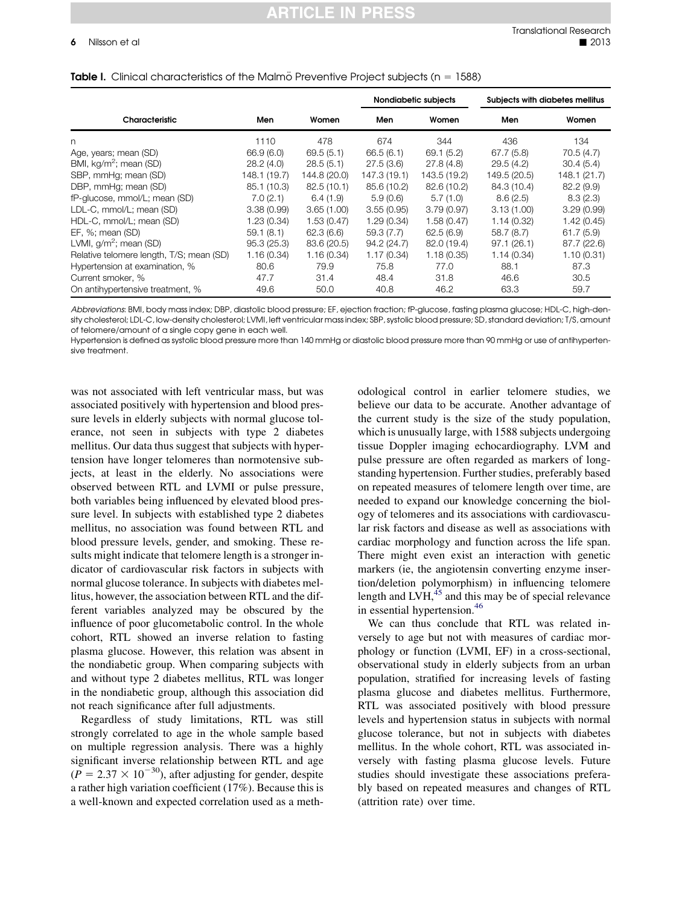## **ARTICLE IN PRESS**

|                                          |              |              | Nondiabetic subjects |              | Subjects with diabetes mellitus |              |
|------------------------------------------|--------------|--------------|----------------------|--------------|---------------------------------|--------------|
| Characteristic                           | Men          | Women        | Men                  | Women        | Men                             | Women        |
| n                                        | 1110         | 478          | 674                  | 344          | 436                             | 134          |
| Age, years; mean (SD)                    | 66.9 (6.0)   | 69.5(5.1)    | 66.5(6.1)            | 69.1 (5.2)   | 67.7(5.8)                       | 70.5(4.7)    |
| BMI, kg/m <sup>2</sup> ; mean (SD)       | 28.2(4.0)    | 28.5(5.1)    | 27.5(3.6)            | 27.8(4.8)    | 29.5(4.2)                       | 30.4(5.4)    |
| SBP, mmHg; mean (SD)                     | 148.1 (19.7) | 144.8 (20.0) | 147.3 (19.1)         | 143.5 (19.2) | 149.5 (20.5)                    | 148.1 (21.7) |
| DBP, mmHg; mean (SD)                     | 85.1 (10.3)  | 82.5(10.1)   | 85.6 (10.2)          | 82.6 (10.2)  | 84.3 (10.4)                     | 82.2(9.9)    |
| fP-glucose, mmol/L; mean (SD)            | 7.0(2.1)     | 6.4(1.9)     | 5.9(0.6)             | 5.7(1.0)     | 8.6(2.5)                        | 8.3(2.3)     |
| LDL-C, mmol/L; mean (SD)                 | 3.38(0.99)   | 3.65(1.00)   | 3.55(0.95)           | 3.79(0.97)   | 3.13(1.00)                      | 3.29(0.99)   |
| HDL-C, mmol/L; mean (SD)                 | 1.23(0.34)   | 1.53(0.47)   | 1.29(0.34)           | 1.58(0.47)   | 1.14(0.32)                      | 1.42(0.45)   |
| EF, %; mean (SD)                         | 59.1(8.1)    | 62.3(6.6)    | 59.3(7.7)            | 62.5(6.9)    | 58.7(8.7)                       | 61.7(5.9)    |
| LVMI, $g/m^2$ ; mean (SD)                | 95.3(25.3)   | 83.6 (20.5)  | 94.2 (24.7)          | 82.0 (19.4)  | 97.1(26.1)                      | 87.7 (22.6)  |
| Relative telomere length, T/S; mean (SD) | 1.16(0.34)   | 1.16(0.34)   | 1.17(0.34)           | 1.18(0.35)   | 1.14(0.34)                      | 1.10(0.31)   |
| Hypertension at examination, %           | 80.6         | 79.9         | 75.8                 | 77.0         | 88.1                            | 87.3         |
| Current smoker, %                        | 47.7         | 31.4         | 48.4                 | 31.8         | 46.6                            | 30.5         |
| On antihypertensive treatment, %         | 49.6         | 50.0         | 40.8                 | 46.2         | 63.3                            | 59.7         |

#### <span id="page-5-0"></span>Table I. Clinical characteristics of the Malmö Preventive Project subjects ( $n = 1588$ )

Abbreviations: BMI, body mass index; DBP, diastolic blood pressure; EF, ejection fraction; fP-glucose, fasting plasma glucose; HDL-C, high-density cholesterol; LDL-C, low-density cholesterol; LVMI, left ventricular mass index; SBP, systolic blood pressure; SD, standard deviation; T/S, amount of telomere/amount of a single copy gene in each well.

Hypertension is defined as systolic blood pressure more than 140 mmHg or diastolic blood pressure more than 90 mmHg or use of antihypertensive treatment.

was not associated with left ventricular mass, but was associated positively with hypertension and blood pressure levels in elderly subjects with normal glucose tolerance, not seen in subjects with type 2 diabetes mellitus. Our data thus suggest that subjects with hypertension have longer telomeres than normotensive subjects, at least in the elderly. No associations were observed between RTL and LVMI or pulse pressure, both variables being influenced by elevated blood pressure level. In subjects with established type 2 diabetes mellitus, no association was found between RTL and blood pressure levels, gender, and smoking. These results might indicate that telomere length is a stronger indicator of cardiovascular risk factors in subjects with normal glucose tolerance. In subjects with diabetes mellitus, however, the association between RTL and the different variables analyzed may be obscured by the influence of poor glucometabolic control. In the whole cohort, RTL showed an inverse relation to fasting plasma glucose. However, this relation was absent in the nondiabetic group. When comparing subjects with and without type 2 diabetes mellitus, RTL was longer in the nondiabetic group, although this association did not reach significance after full adjustments.

Regardless of study limitations, RTL was still strongly correlated to age in the whole sample based on multiple regression analysis. There was a highly significant inverse relationship between RTL and age  $(P = 2.37 \times 10^{-30})$ , after adjusting for gender, despite a rather high variation coefficient (17%). Because this is a well-known and expected correlation used as a methodological control in earlier telomere studies, we believe our data to be accurate. Another advantage of the current study is the size of the study population, which is unusually large, with 1588 subjects undergoing tissue Doppler imaging echocardiography. LVM and pulse pressure are often regarded as markers of longstanding hypertension. Further studies, preferably based on repeated measures of telomere length over time, are needed to expand our knowledge concerning the biology of telomeres and its associations with cardiovascular risk factors and disease as well as associations with cardiac morphology and function across the life span. There might even exist an interaction with genetic markers (ie, the angiotensin converting enzyme insertion/deletion polymorphism) in influencing telomere length and LVH, $45$  and this may be of special relevance in essential hypertension.<sup>[46](#page-9-0)</sup>

We can thus conclude that RTL was related inversely to age but not with measures of cardiac morphology or function (LVMI, EF) in a cross-sectional, observational study in elderly subjects from an urban population, stratified for increasing levels of fasting plasma glucose and diabetes mellitus. Furthermore, RTL was associated positively with blood pressure levels and hypertension status in subjects with normal glucose tolerance, but not in subjects with diabetes mellitus. In the whole cohort, RTL was associated inversely with fasting plasma glucose levels. Future studies should investigate these associations preferably based on repeated measures and changes of RTL (attrition rate) over time.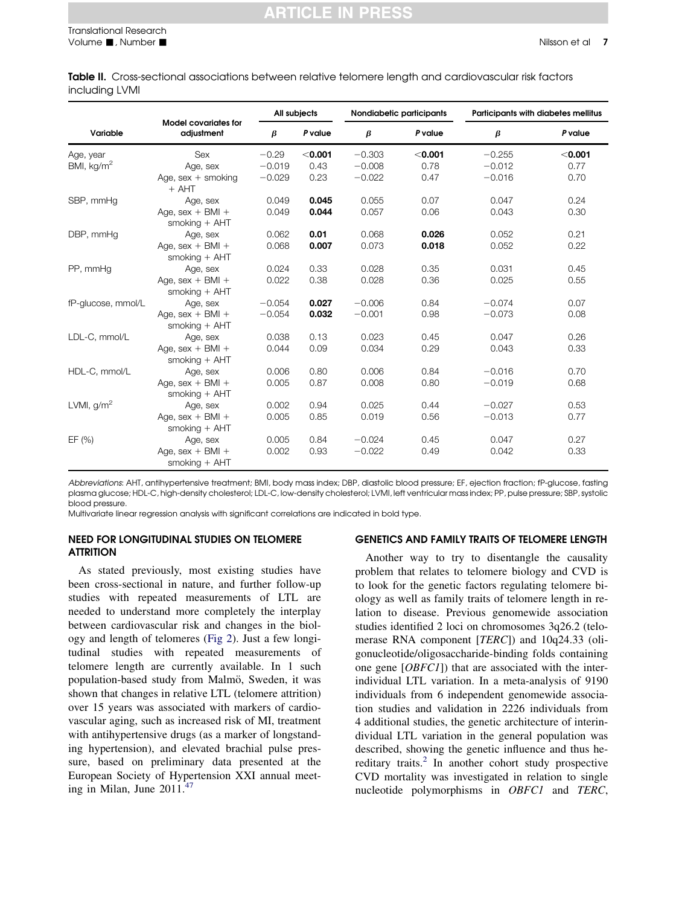<span id="page-6-0"></span>Table II. Cross-sectional associations between relative telomere length and cardiovascular risk factors including LVMI

| Variable           | <b>Model covariates for</b><br>adjustment | All subjects |           | Nondiabetic participants |           | Participants with diabetes mellitus |           |
|--------------------|-------------------------------------------|--------------|-----------|--------------------------|-----------|-------------------------------------|-----------|
|                    |                                           | β            | P value   | $\beta$                  | P value   | $\beta$                             | P value   |
| Age, year          | <b>Sex</b>                                | $-0.29$      | $<$ 0.001 | $-0.303$                 | $<$ 0.001 | $-0.255$                            | $<$ 0.001 |
| BMI, $kg/m2$       | Age, sex                                  | $-0.019$     | 0.43      | $-0.008$                 | 0.78      | $-0.012$                            | 0.77      |
|                    | Age, $sex +$ smoking<br>$+$ AHT           | $-0.029$     | 0.23      | $-0.022$                 | 0.47      | $-0.016$                            | 0.70      |
| SBP, mmHq          | Age, sex                                  | 0.049        | 0.045     | 0.055                    | 0.07      | 0.047                               | 0.24      |
|                    | Age, $sex + BMI +$<br>smoking $+$ AHT     | 0.049        | 0.044     | 0.057                    | 0.06      | 0.043                               | 0.30      |
| DBP, mmHq          | Age, sex                                  | 0.062        | 0.01      | 0.068                    | 0.026     | 0.052                               | 0.21      |
|                    | Age, $sex + BMI +$<br>smoking $+$ AHT     | 0.068        | 0.007     | 0.073                    | 0.018     | 0.052                               | 0.22      |
| PP, mmHg           | Age, sex                                  | 0.024        | 0.33      | 0.028                    | 0.35      | 0.031                               | 0.45      |
|                    | Age, $sex + BMI +$<br>smoking $+$ AHT     | 0.022        | 0.38      | 0.028                    | 0.36      | 0.025                               | 0.55      |
| fP-glucose, mmol/L | Age, sex                                  | $-0.054$     | 0.027     | $-0.006$                 | 0.84      | $-0.074$                            | 0.07      |
|                    | Age, $sex + BMI +$<br>smoking $+$ AHT     | $-0.054$     | 0.032     | $-0.001$                 | 0.98      | $-0.073$                            | 0.08      |
| LDL-C, mmol/L      | Age, sex                                  | 0.038        | 0.13      | 0.023                    | 0.45      | 0.047                               | 0.26      |
|                    | Age, $sex + BMI +$<br>smoking $+$ AHT     | 0.044        | 0.09      | 0.034                    | 0.29      | 0.043                               | 0.33      |
| HDL-C, mmol/L      | Age, sex                                  | 0.006        | 0.80      | 0.006                    | 0.84      | $-0.016$                            | 0.70      |
|                    | Age, $sex + BMI +$<br>smoking $+$ AHT     | 0.005        | 0.87      | 0.008                    | 0.80      | $-0.019$                            | 0.68      |
| LVMI, $g/m^2$      | Age, sex                                  | 0.002        | 0.94      | 0.025                    | 0.44      | $-0.027$                            | 0.53      |
|                    | Age, $sex + BMI +$<br>smoking + AHT       | 0.005        | 0.85      | 0.019                    | 0.56      | $-0.013$                            | 0.77      |
| EF(%)              | Age, sex                                  | 0.005        | 0.84      | $-0.024$                 | 0.45      | 0.047                               | 0.27      |
|                    | Age, $sex + BMI +$<br>smoking $+$ AHT     | 0.002        | 0.93      | $-0.022$                 | 0.49      | 0.042                               | 0.33      |

Abbreviations: AHT, antihypertensive treatment; BMI, body mass index; DBP, diastolic blood pressure; EF, ejection fraction; fP-glucose, fasting plasma glucose; HDL-C, high-density cholesterol; LDL-C, low-density cholesterol; LVMI, left ventricular mass index; PP, pulse pressure; SBP, systolic blood pressure.

Multivariate linear regression analysis with significant correlations are indicated in bold type.

#### NEED FOR LONGITUDINAL STUDIES ON TELOMERE **ATTRITION**

#### As stated previously, most existing studies have been cross-sectional in nature, and further follow-up studies with repeated measurements of LTL are needed to understand more completely the interplay between cardiovascular risk and changes in the biology and length of telomeres ([Fig 2](#page-8-0)). Just a few longitudinal studies with repeated measurements of telomere length are currently available. In 1 such population-based study from Malmö, Sweden, it was shown that changes in relative LTL (telomere attrition) over 15 years was associated with markers of cardiovascular aging, such as increased risk of MI, treatment with antihypertensive drugs (as a marker of longstanding hypertension), and elevated brachial pulse pressure, based on preliminary data presented at the European Society of Hypertension XXI annual meeting in Milan, June  $2011<sup>47</sup>$  $2011<sup>47</sup>$  $2011<sup>47</sup>$

#### GENETICS AND FAMILY TRAITS OF TELOMERE LENGTH

Another way to try to disentangle the causality problem that relates to telomere biology and CVD is to look for the genetic factors regulating telomere biology as well as family traits of telomere length in relation to disease. Previous genomewide association studies identified 2 loci on chromosomes 3q26.2 (telomerase RNA component [TERC]) and 10q24.33 (oligonucleotide/oligosaccharide-binding folds containing one gene [OBFC1]) that are associated with the interindividual LTL variation. In a meta-analysis of 9190 individuals from 6 independent genomewide association studies and validation in 2226 individuals from 4 additional studies, the genetic architecture of interindividual LTL variation in the general population was described, showing the genetic influence and thus hereditary traits. $^{2}$  $^{2}$  $^{2}$  In another cohort study prospective CVD mortality was investigated in relation to single nucleotide polymorphisms in *OBFC1* and *TERC*,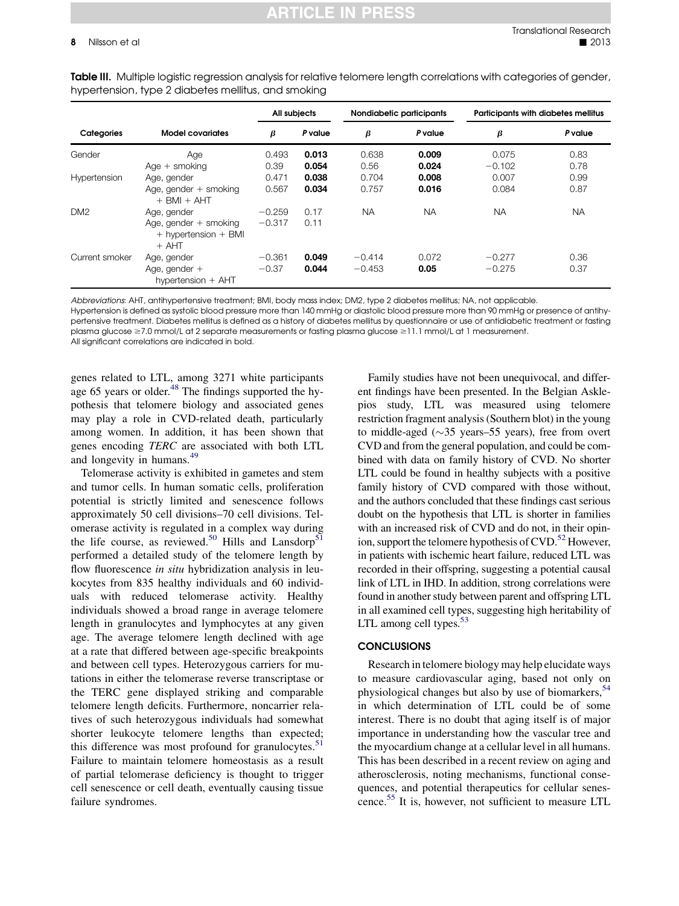<span id="page-7-0"></span>Table III. Multiple logistic regression analysis for relative telomere length correlations with categories of gender, hypertension, type 2 diabetes mellitus, and smoking

|                 | <b>Model covariates</b>                                        | All subjects |         | Nondiabetic participants |           | <b>Participants with diabetes mellitus</b> |           |
|-----------------|----------------------------------------------------------------|--------------|---------|--------------------------|-----------|--------------------------------------------|-----------|
| Categories      |                                                                | β            | P value | β                        | P value   | β                                          | P value   |
| Gender          | Age                                                            | 0.493        | 0.013   | 0.638                    | 0.009     | 0.075                                      | 0.83      |
|                 | $Aqe + smoking$                                                | 0.39         | 0.054   | 0.56                     | 0.024     | $-0.102$                                   | 0.78      |
| Hypertension    | Age, gender                                                    | 0.471        | 0.038   | 0.704                    | 0.008     | 0.007                                      | 0.99      |
|                 | Age, gender $+$ smoking<br>$+$ BMI $+$ AHT                     | 0.567        | 0.034   | 0.757                    | 0.016     | 0.084                                      | 0.87      |
| DM <sub>2</sub> | Age, gender                                                    | $-0.259$     | 0.17    | <b>NA</b>                | <b>NA</b> | <b>NA</b>                                  | <b>NA</b> |
|                 | Age, gender $+$ smoking<br>$+$ hypertension $+$ BMI<br>$+$ AHT | $-0.317$     | 0.11    |                          |           |                                            |           |
| Current smoker  | Age, gender                                                    | $-0.361$     | 0.049   | $-0.414$                 | 0.072     | $-0.277$                                   | 0.36      |
|                 | Age, gender $+$<br>hypertension + AHT                          | $-0.37$      | 0.044   | $-0.453$                 | 0.05      | $-0.275$                                   | 0.37      |

Abbreviations: AHT, antihypertensive treatment; BMI, body mass index; DM2, type 2 diabetes mellitus; NA, not applicable.

Hypertension is defined as systolic blood pressure more than 140 mmHg or diastolic blood pressure more than 90 mmHg or presence of antihypertensive treatment. Diabetes mellitus is defined as a history of diabetes mellitus by questionnaire or use of antidiabetic treatment or fasting plasma glucose  $\geq$ 7.0 mmol/L at 2 separate measurements or fasting plasma glucose  $\geq$ 11.1 mmol/L at 1 measurement. All significant correlations are indicated in bold.

genes related to LTL, among 3271 white participants age 65 years or older. $48$  The findings supported the hypothesis that telomere biology and associated genes may play a role in CVD-related death, particularly among women. In addition, it has been shown that genes encoding TERC are associated with both LTL and longevity in humans.[49](#page-9-0)

Telomerase activity is exhibited in gametes and stem and tumor cells. In human somatic cells, proliferation potential is strictly limited and senescence follows approximately 50 cell divisions–70 cell divisions. Telomerase activity is regulated in a complex way during the life course, as reviewed.<sup>[50](#page-9-0)</sup> Hills and Lansdorp<sup>[51](#page-9-0)</sup> performed a detailed study of the telomere length by flow fluorescence *in situ* hybridization analysis in leukocytes from 835 healthy individuals and 60 individuals with reduced telomerase activity. Healthy individuals showed a broad range in average telomere length in granulocytes and lymphocytes at any given age. The average telomere length declined with age at a rate that differed between age-specific breakpoints and between cell types. Heterozygous carriers for mutations in either the telomerase reverse transcriptase or the TERC gene displayed striking and comparable telomere length deficits. Furthermore, noncarrier relatives of such heterozygous individuals had somewhat shorter leukocyte telomere lengths than expected; this difference was most profound for granulocytes. $51$ Failure to maintain telomere homeostasis as a result of partial telomerase deficiency is thought to trigger cell senescence or cell death, eventually causing tissue failure syndromes.

Family studies have not been unequivocal, and different findings have been presented. In the Belgian Asklepios study, LTL was measured using telomere restriction fragment analysis (Southern blot) in the young to middle-aged  $(\sim 35 \text{ years} - 55 \text{ years})$ , free from overt CVD and from the general population, and could be combined with data on family history of CVD. No shorter LTL could be found in healthy subjects with a positive family history of CVD compared with those without, and the authors concluded that these findings cast serious doubt on the hypothesis that LTL is shorter in families with an increased risk of CVD and do not, in their opinion, support the telomere hypothesis of  $CVD$ .<sup>[52](#page-9-0)</sup> However, in patients with ischemic heart failure, reduced LTL was recorded in their offspring, suggesting a potential causal link of LTL in IHD. In addition, strong correlations were found in another study between parent and offspring LTL in all examined cell types, suggesting high heritability of LTL among cell types.<sup>[53](#page-9-0)</sup>

#### **CONCLUSIONS**

Research in telomere biology may help elucidate ways to measure cardiovascular aging, based not only on physiological changes but also by use of biomarkers,<sup>[54](#page-9-0)</sup> in which determination of LTL could be of some interest. There is no doubt that aging itself is of major importance in understanding how the vascular tree and the myocardium change at a cellular level in all humans. This has been described in a recent review on aging and atherosclerosis, noting mechanisms, functional consequences, and potential therapeutics for cellular senescence.[55](#page-9-0) It is, however, not sufficient to measure LTL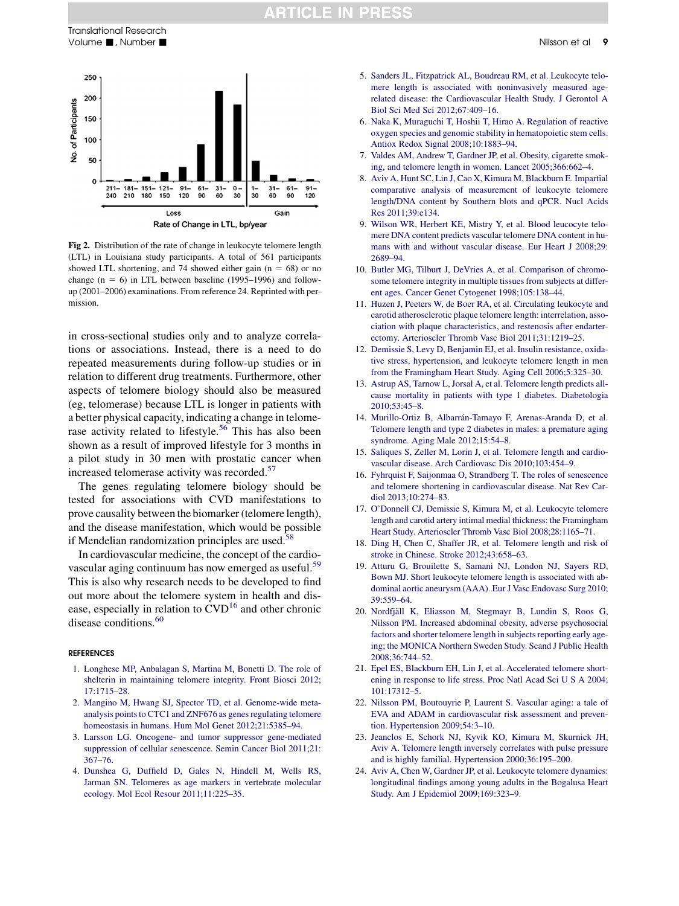#### **RTICLE IN PRESS**

<span id="page-8-0"></span>

Fig 2. Distribution of the rate of change in leukocyte telomere length (LTL) in Louisiana study participants. A total of 561 participants showed LTL shortening, and 74 showed either gain ( $n = 68$ ) or no change  $(n = 6)$  in LTL between baseline (1995–1996) and followup (2001–2006) examinations. From reference 24. Reprinted with permission.

in cross-sectional studies only and to analyze correlations or associations. Instead, there is a need to do repeated measurements during follow-up studies or in relation to different drug treatments. Furthermore, other aspects of telomere biology should also be measured (eg, telomerase) because LTL is longer in patients with a better physical capacity, indicating a change in telome-rase activity related to lifestyle.<sup>[56](#page-9-0)</sup> This has also been shown as a result of improved lifestyle for 3 months in a pilot study in 30 men with prostatic cancer when increased telomerase activity was recorded.<sup>[57](#page-9-0)</sup>

The genes regulating telomere biology should be tested for associations with CVD manifestations to prove causality between the biomarker (telomere length), and the disease manifestation, which would be possible if Mendelian randomization principles are used.<sup>[58](#page-9-0)</sup>

In cardiovascular medicine, the concept of the cardio-vascular aging continuum has now emerged as useful.<sup>[59](#page-9-0)</sup> This is also why research needs to be developed to find out more about the telomere system in health and disease, especially in relation to  $CVD^{16}$  and other chronic disease conditions.<sup>[60](#page-9-0)</sup>

#### **REFERENCES**

- 1. [Longhese MP, Anbalagan S, Martina M, Bonetti D. The role of](http://refhub.elsevier.com/S1931-5244(13)00147-3/sref1) [shelterin in maintaining telomere integrity. Front Biosci 2012;](http://refhub.elsevier.com/S1931-5244(13)00147-3/sref1) [17:1715–28.](http://refhub.elsevier.com/S1931-5244(13)00147-3/sref1)
- 2. [Mangino M, Hwang SJ, Spector TD, et al. Genome-wide meta](http://refhub.elsevier.com/S1931-5244(13)00147-3/sref2)[analysis points to CTC1 and ZNF676 as genes regulating telomere](http://refhub.elsevier.com/S1931-5244(13)00147-3/sref2) [homeostasis in humans. Hum Mol Genet 2012;21:5385–94](http://refhub.elsevier.com/S1931-5244(13)00147-3/sref2).
- 3. [Larsson LG. Oncogene- and tumor suppressor gene-mediated](http://refhub.elsevier.com/S1931-5244(13)00147-3/sref3) [suppression of cellular senescence. Semin Cancer Biol 2011;21:](http://refhub.elsevier.com/S1931-5244(13)00147-3/sref3) [367–76](http://refhub.elsevier.com/S1931-5244(13)00147-3/sref3).
- 4. [Dunshea G, Duffield D, Gales N, Hindell M, Wells RS,](http://refhub.elsevier.com/S1931-5244(13)00147-3/sref4) [Jarman SN. Telomeres as age markers in vertebrate molecular](http://refhub.elsevier.com/S1931-5244(13)00147-3/sref4) [ecology. Mol Ecol Resour 2011;11:225–35.](http://refhub.elsevier.com/S1931-5244(13)00147-3/sref4)
- 5. [Sanders JL, Fitzpatrick AL, Boudreau RM, et al. Leukocyte telo](http://refhub.elsevier.com/S1931-5244(13)00147-3/sref5)[mere length is associated with noninvasively measured age](http://refhub.elsevier.com/S1931-5244(13)00147-3/sref5)[related disease: the Cardiovascular Health Study. J Gerontol A](http://refhub.elsevier.com/S1931-5244(13)00147-3/sref5) [Biol Sci Med Sci 2012;67:409–16](http://refhub.elsevier.com/S1931-5244(13)00147-3/sref5).
- 6. [Naka K, Muraguchi T, Hoshii T, Hirao A. Regulation of reactive](http://refhub.elsevier.com/S1931-5244(13)00147-3/sref6) [oxygen species and genomic stability in hematopoietic stem cells.](http://refhub.elsevier.com/S1931-5244(13)00147-3/sref6) [Antiox Redox Signal 2008;10:1883–94.](http://refhub.elsevier.com/S1931-5244(13)00147-3/sref6)
- 7. [Valdes AM, Andrew T, Gardner JP, et al. Obesity, cigarette smok](http://refhub.elsevier.com/S1931-5244(13)00147-3/sref7)[ing, and telomere length in women. Lancet 2005;366:662–4](http://refhub.elsevier.com/S1931-5244(13)00147-3/sref7).
- 8. [Aviv A, Hunt SC, Lin J, Cao X, Kimura M, Blackburn E. Impartial](http://refhub.elsevier.com/S1931-5244(13)00147-3/sref8) [comparative analysis of measurement of leukocyte telomere](http://refhub.elsevier.com/S1931-5244(13)00147-3/sref8) [length/DNA content by Southern blots and qPCR. Nucl Acids](http://refhub.elsevier.com/S1931-5244(13)00147-3/sref8) [Res 2011;39:e134.](http://refhub.elsevier.com/S1931-5244(13)00147-3/sref8)
- 9. [Wilson WR, Herbert KE, Mistry Y, et al. Blood leucocyte telo](http://refhub.elsevier.com/S1931-5244(13)00147-3/sref9)[mere DNA content predicts vascular telomere DNA content in hu](http://refhub.elsevier.com/S1931-5244(13)00147-3/sref9)[mans with and without vascular disease. Eur Heart J 2008;29:](http://refhub.elsevier.com/S1931-5244(13)00147-3/sref9) [2689–94](http://refhub.elsevier.com/S1931-5244(13)00147-3/sref9).
- 10. [Butler MG, Tilburt J, DeVries A, et al. Comparison of chromo](http://refhub.elsevier.com/S1931-5244(13)00147-3/sref10)[some telomere integrity in multiple tissues from subjects at differ](http://refhub.elsevier.com/S1931-5244(13)00147-3/sref10)[ent ages. Cancer Genet Cytogenet 1998;105:138–44](http://refhub.elsevier.com/S1931-5244(13)00147-3/sref10).
- 11. [Huzen J, Peeters W, de Boer RA, et al. Circulating leukocyte and](http://refhub.elsevier.com/S1931-5244(13)00147-3/sref11) [carotid atherosclerotic plaque telomere length: interrelation, asso](http://refhub.elsevier.com/S1931-5244(13)00147-3/sref11)[ciation with plaque characteristics, and restenosis after endarter](http://refhub.elsevier.com/S1931-5244(13)00147-3/sref11)[ectomy. Arterioscler Thromb Vasc Biol 2011;31:1219–25](http://refhub.elsevier.com/S1931-5244(13)00147-3/sref11).
- 12. [Demissie S, Levy D, Benjamin EJ, et al. Insulin resistance, oxida](http://refhub.elsevier.com/S1931-5244(13)00147-3/sref12)[tive stress, hypertension, and leukocyte telomere length in men](http://refhub.elsevier.com/S1931-5244(13)00147-3/sref12) [from the Framingham Heart Study. Aging Cell 2006;5:325–30](http://refhub.elsevier.com/S1931-5244(13)00147-3/sref12).
- 13. [Astrup AS, Tarnow L, Jorsal A, et al. Telomere length predicts all](http://refhub.elsevier.com/S1931-5244(13)00147-3/sref13)[cause mortality in patients with type 1 diabetes. Diabetologia](http://refhub.elsevier.com/S1931-5244(13)00147-3/sref13) [2010;53:45–8.](http://refhub.elsevier.com/S1931-5244(13)00147-3/sref13)
- 14. [Murillo-Ortiz B, Albarr](http://refhub.elsevier.com/S1931-5244(13)00147-3/sref14)á[n-Tamayo F, Arenas-Aranda D, et al.](http://refhub.elsevier.com/S1931-5244(13)00147-3/sref14) [Telomere length and type 2 diabetes in males: a premature aging](http://refhub.elsevier.com/S1931-5244(13)00147-3/sref14) [syndrome. Aging Male 2012;15:54–8](http://refhub.elsevier.com/S1931-5244(13)00147-3/sref14).
- 15. [Saliques S, Zeller M, Lorin J, et al. Telomere length and cardio](http://refhub.elsevier.com/S1931-5244(13)00147-3/sref15)[vascular disease. Arch Cardiovasc Dis 2010;103:454–9.](http://refhub.elsevier.com/S1931-5244(13)00147-3/sref15)
- 16. [Fyhrquist F, Saijonmaa O, Strandberg T. The roles of senescence](http://refhub.elsevier.com/S1931-5244(13)00147-3/sref16) [and telomere shortening in cardiovascular disease. Nat Rev Car](http://refhub.elsevier.com/S1931-5244(13)00147-3/sref16)[diol 2013;10:274–83](http://refhub.elsevier.com/S1931-5244(13)00147-3/sref16).
- 17. [O'Donnell CJ, Demissie S, Kimura M, et al. Leukocyte telomere](http://refhub.elsevier.com/S1931-5244(13)00147-3/sref17) [length and carotid artery intimal medial thickness: the Framingham](http://refhub.elsevier.com/S1931-5244(13)00147-3/sref17) [Heart Study. Arterioscler Thromb Vasc Biol 2008;28:1165–71.](http://refhub.elsevier.com/S1931-5244(13)00147-3/sref17)
- 18. [Ding H, Chen C, Shaffer JR, et al. Telomere length and risk of](http://refhub.elsevier.com/S1931-5244(13)00147-3/sref18) [stroke in Chinese. Stroke 2012;43:658–63.](http://refhub.elsevier.com/S1931-5244(13)00147-3/sref18)
- 19. [Atturu G, Brouilette S, Samani NJ, London NJ, Sayers RD,](http://refhub.elsevier.com/S1931-5244(13)00147-3/sref19) [Bown MJ. Short leukocyte telomere length is associated with ab](http://refhub.elsevier.com/S1931-5244(13)00147-3/sref19)[dominal aortic aneurysm \(AAA\). Eur J Vasc Endovasc Surg 2010;](http://refhub.elsevier.com/S1931-5244(13)00147-3/sref19) [39:559–64.](http://refhub.elsevier.com/S1931-5244(13)00147-3/sref19)
- 20. [Nordfj](http://refhub.elsevier.com/S1931-5244(13)00147-3/sref20)äll K, Eliasson M, Stegmayr B, Lundin S, Roos G, [Nilsson PM. Increased abdominal obesity, adverse psychosocial](http://refhub.elsevier.com/S1931-5244(13)00147-3/sref20) [factors and shorter telomere length in subjects reporting early age](http://refhub.elsevier.com/S1931-5244(13)00147-3/sref20)[ing; the MONICA Northern Sweden Study. Scand J Public Health](http://refhub.elsevier.com/S1931-5244(13)00147-3/sref20) [2008;36:744–52.](http://refhub.elsevier.com/S1931-5244(13)00147-3/sref20)
- 21. [Epel ES, Blackburn EH, Lin J, et al. Accelerated telomere short](http://refhub.elsevier.com/S1931-5244(13)00147-3/sref21)[ening in response to life stress. Proc Natl Acad Sci U S A 2004;](http://refhub.elsevier.com/S1931-5244(13)00147-3/sref21) [101:17312–5.](http://refhub.elsevier.com/S1931-5244(13)00147-3/sref21)
- 22. [Nilsson PM, Boutouyrie P, Laurent S. Vascular aging: a tale of](http://refhub.elsevier.com/S1931-5244(13)00147-3/sref22) [EVA and ADAM in cardiovascular risk assessment and preven](http://refhub.elsevier.com/S1931-5244(13)00147-3/sref22)[tion. Hypertension 2009;54:3–10.](http://refhub.elsevier.com/S1931-5244(13)00147-3/sref22)
- 23. [Jeanclos E, Schork NJ, Kyvik KO, Kimura M, Skurnick JH,](http://refhub.elsevier.com/S1931-5244(13)00147-3/sref23) [Aviv A. Telomere length inversely correlates with pulse pressure](http://refhub.elsevier.com/S1931-5244(13)00147-3/sref23) [and is highly familial. Hypertension 2000;36:195–200.](http://refhub.elsevier.com/S1931-5244(13)00147-3/sref23)
- 24. [Aviv A, Chen W, Gardner JP, et al. Leukocyte telomere dynamics:](http://refhub.elsevier.com/S1931-5244(13)00147-3/sref24) [longitudinal findings among young adults in the Bogalusa Heart](http://refhub.elsevier.com/S1931-5244(13)00147-3/sref24) [Study. Am J Epidemiol 2009;169:323–9.](http://refhub.elsevier.com/S1931-5244(13)00147-3/sref24)